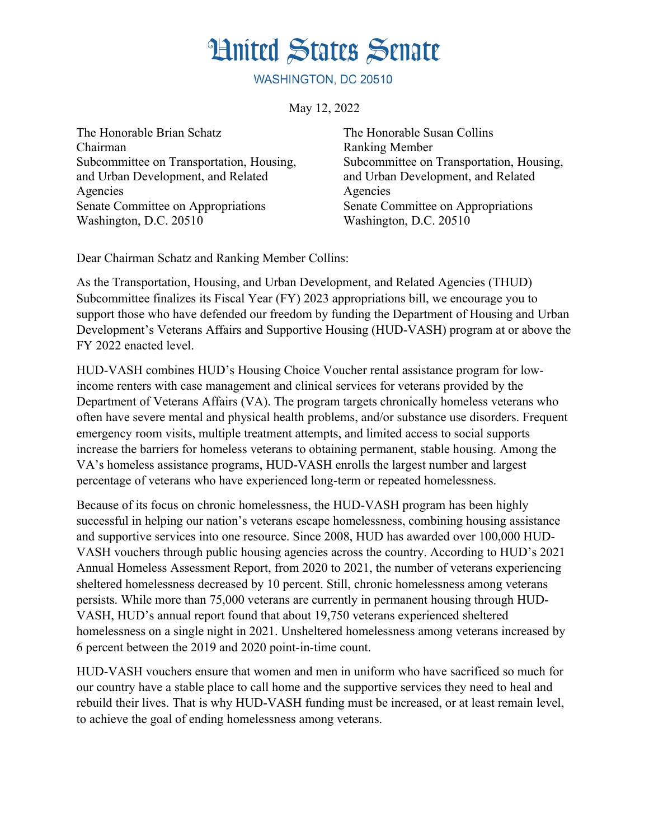## **Hnited States Senate**

WASHINGTON, DC 20510

May 12, 2022

The Honorable Brian Schatz Chairman Subcommittee on Transportation, Housing, and Urban Development, and Related Agencies Senate Committee on Appropriations Washington, D.C. 20510

The Honorable Susan Collins Ranking Member Subcommittee on Transportation, Housing, and Urban Development, and Related Agencies Senate Committee on Appropriations Washington, D.C. 20510

Dear Chairman Schatz and Ranking Member Collins:

As the Transportation, Housing, and Urban Development, and Related Agencies (THUD) Subcommittee finalizes its Fiscal Year (FY) 2023 appropriations bill, we encourage you to support those who have defended our freedom by funding the Department of Housing and Urban Development's Veterans Affairs and Supportive Housing (HUD-VASH) program at or above the FY 2022 enacted level.

HUD-VASH combines HUD's Housing Choice Voucher rental assistance program for lowincome renters with case management and clinical services for veterans provided by the Department of Veterans Affairs (VA). The program targets chronically homeless veterans who often have severe mental and physical health problems, and/or substance use disorders. Frequent emergency room visits, multiple treatment attempts, and limited access to social supports increase the barriers for homeless veterans to obtaining permanent, stable housing. Among the VA's homeless assistance programs, HUD-VASH enrolls the largest number and largest percentage of veterans who have experienced long-term or repeated homelessness.

Because of its focus on chronic homelessness, the HUD-VASH program has been highly successful in helping our nation's veterans escape homelessness, combining housing assistance and supportive services into one resource. Since 2008, HUD has awarded over 100,000 HUD-VASH vouchers through public housing agencies across the country. According to HUD's 2021 Annual Homeless Assessment Report, from 2020 to 2021, the number of veterans experiencing sheltered homelessness decreased by 10 percent. Still, chronic homelessness among veterans persists. While more than 75,000 veterans are currently in permanent housing through HUD-VASH, HUD's annual report found that about 19,750 veterans experienced sheltered homelessness on a single night in 2021. Unsheltered homelessness among veterans increased by 6 percent between the 2019 and 2020 point-in-time count.

HUD-VASH vouchers ensure that women and men in uniform who have sacrificed so much for our country have a stable place to call home and the supportive services they need to heal and rebuild their lives. That is why HUD-VASH funding must be increased, or at least remain level, to achieve the goal of ending homelessness among veterans.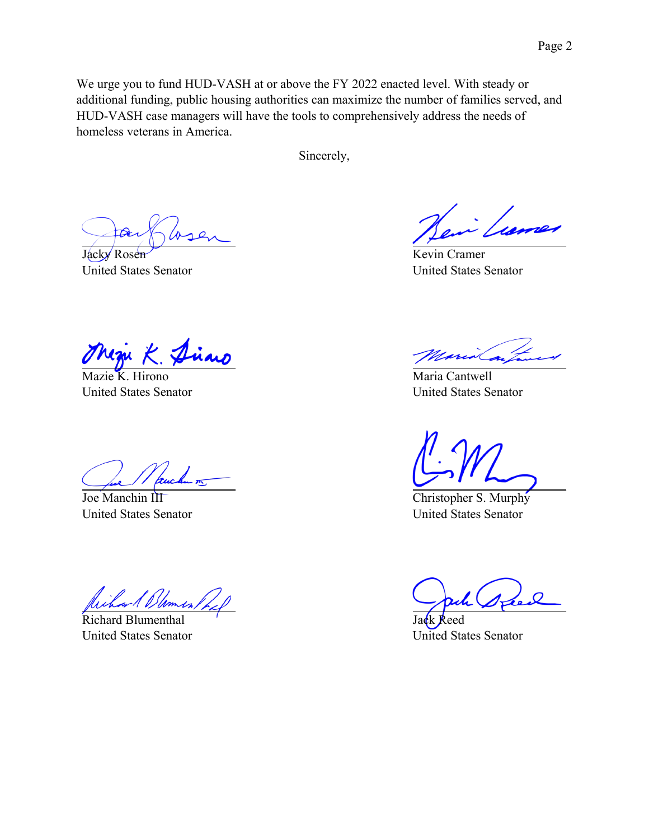We urge you to fund HUD-VASH at or above the FY 2022 enacted level. With steady or additional funding, public housing authorities can maximize the number of families served, and HUD-VASH case managers will have the tools to comprehensively address the needs of homeless veterans in America.

Sincerely,

Jacky Rosen United States Senator

Kevin Cramer United States Senator

Mazie K. Hirono United States Senator

Joe Manchin III United States Senator

*Dames* 

Richard Blumenthal United States Senator

Maria Cantwell United States Senator

Christopher S. Murphy United States Senator

Jack Reed United States Senator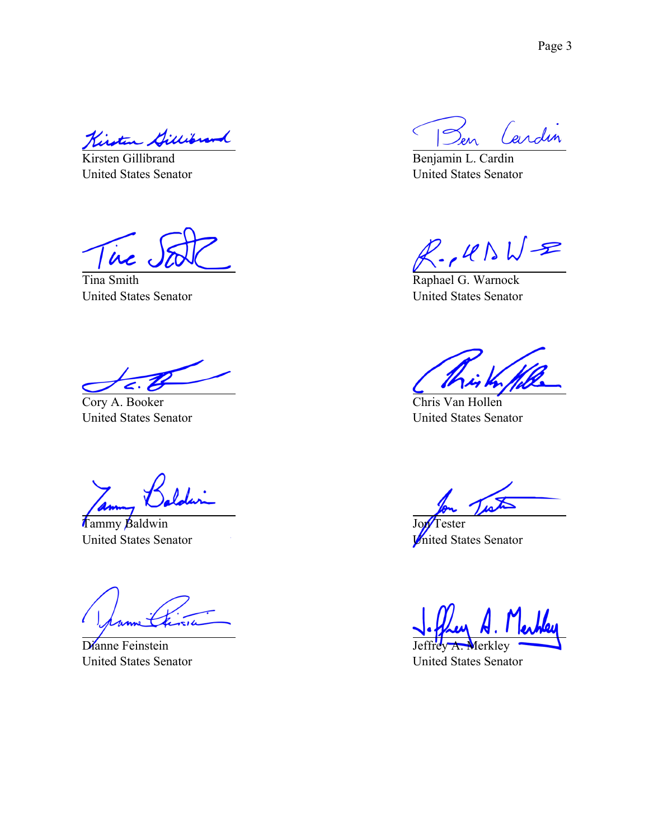Kirsten Gillibrand

United States Senator

ire

Tina Smith United States Senator

Cory A. Booker United States Senator

Tammy Baldwin United States Senator

Dianne Feinstein United States Senator

Cardin  $\subset$ 

Benjamin L. Cardin United States Senator

 $R.145WR$ 

Raphael G. Warnock United States Senator

Chris Van Hollen United States Senator

 $\overline{a}$ 

Jon<sup>T</sup>ester United States Senator

Jeffrey A. Merkley

United States Senator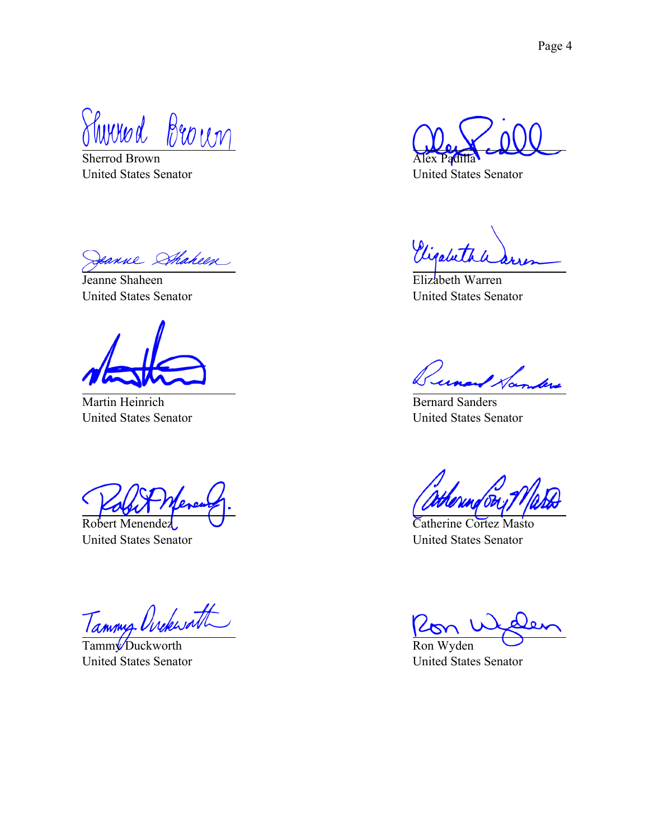Thured Brown

Sherrod Brown United States Senator

eanne Sthaheen

Jeanne Shaheen United States Senator

Martin Heinrich United States Senator

Robert Menendez United States Senator

Tammy Orckwatt

Tamm<sup>y</sup> Duckworth United States Senator

Alex Padilla

United States Senator

Vigabeth

Elizabeth Warren United States Senator

Bernard Sanders United States Senator

Catherine Cortez Masto United States Senator

Ron Wyden

United States Senator